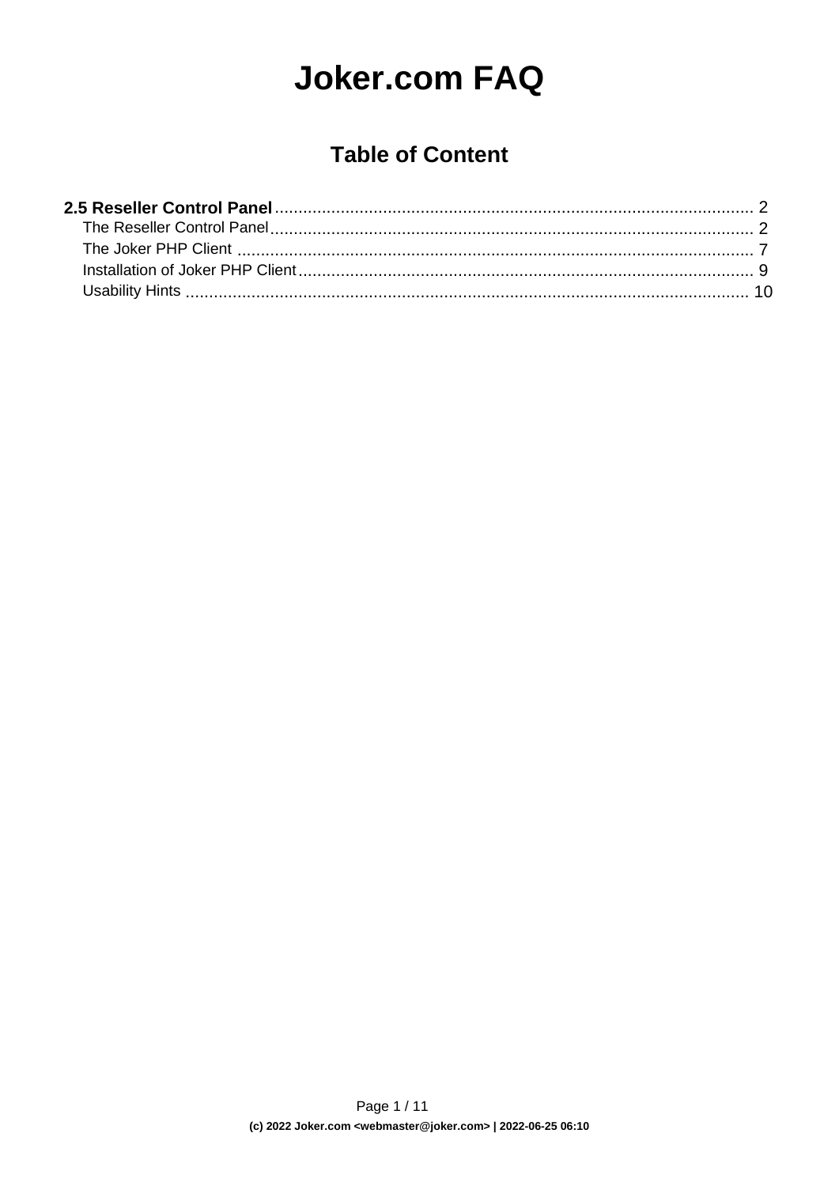# **Joker.com FAQ**

### **Table of Content**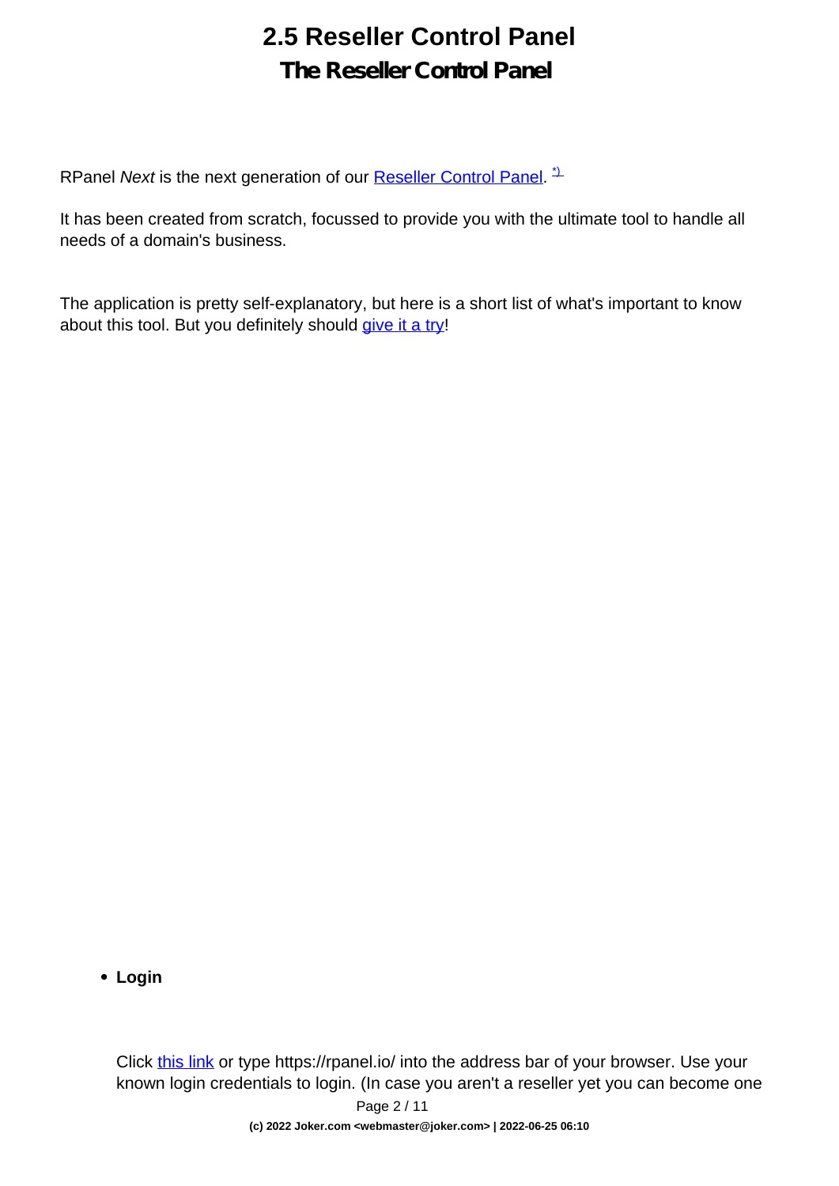### **The Reseller Control Panel**

<span id="page-1-0"></span>RPanel Next is the next generation of our **Reseller Control Panel.**<sup>1</sup>

It has been created from scratch, focussed to provide you with the ultimate tool to handle all needs of a domain's business.

The application is pretty self-explanatory, but here is a short list of what's important to know about this tool. But you definitely should [give it a try](https://rpanel.io)!

**Login** 

Click [this link](https://rpanel.io/login) or type https://rpanel.io/ into the address bar of your browser. Use your known login credentials to login. (In case you aren't a reseller yet you can become one Page 2 / 11

**(c) 2022 Joker.com <webmaster@joker.com> | 2022-06-25 06:10**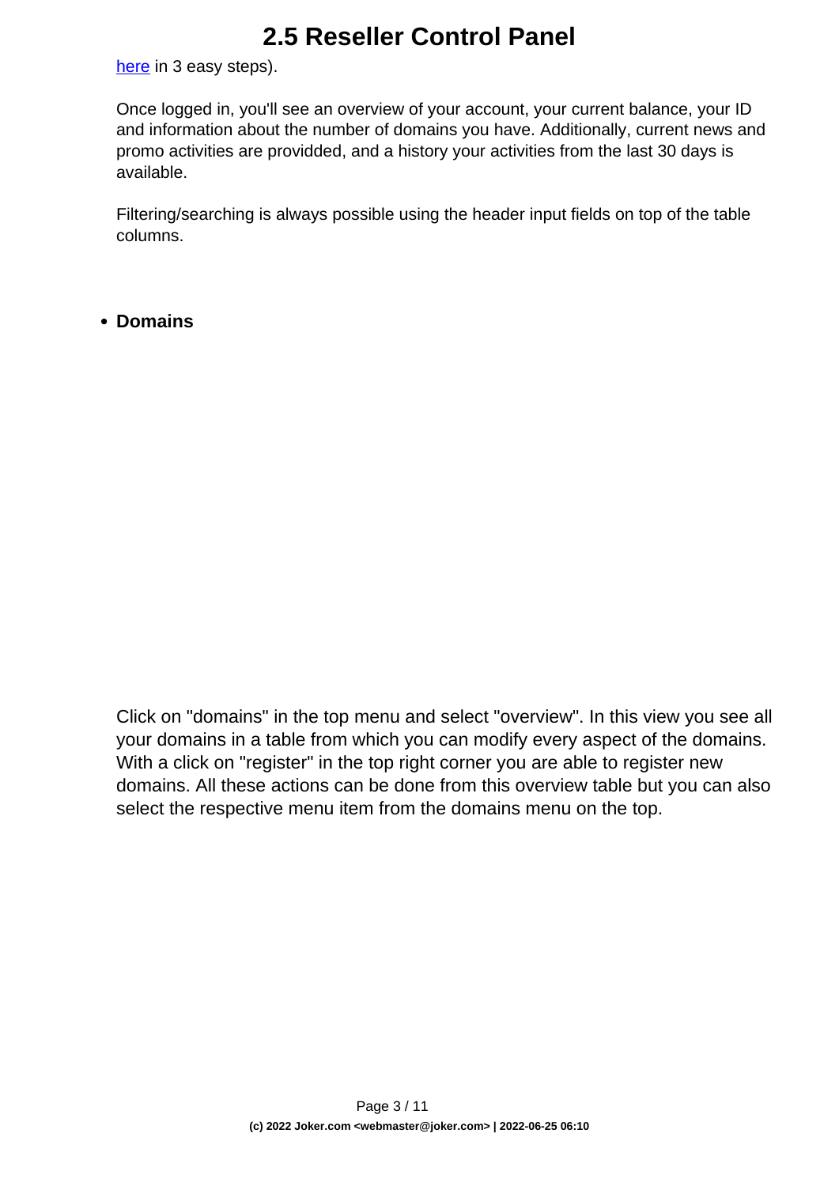[here](https://joker.com/index.joker?mode=reseller&do_next=step13a) in 3 easy steps).

Once logged in, you'll see an overview of your account, your current balance, your ID and information about the number of domains you have. Additionally, current news and promo activities are providded, and a history your activities from the last 30 days is available.

Filtering/searching is always possible using the header input fields on top of the table columns.

**Domains** 

Click on "domains" in the top menu and select "overview". In this view you see all your domains in a table from which you can modify every aspect of the domains. With a click on "register" in the top right corner you are able to register new domains. All these actions can be done from this overview table but you can also select the respective menu item from the domains menu on the top.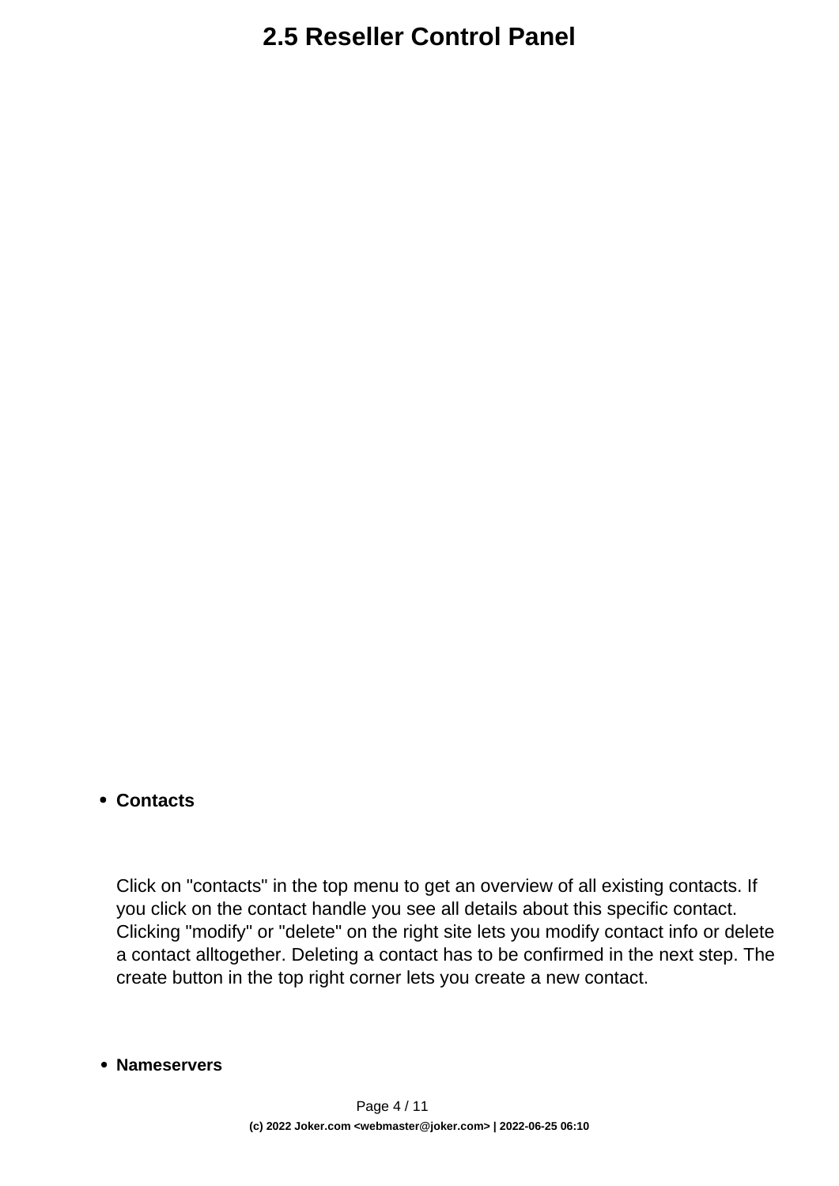#### **Contacts**

Click on "contacts" in the top menu to get an overview of all existing contacts. If you click on the contact handle you see all details about this specific contact. Clicking "modify" or "delete" on the right site lets you modify contact info or delete a contact alltogether. Deleting a contact has to be confirmed in the next step. The create button in the top right corner lets you create a new contact.

#### **Nameservers**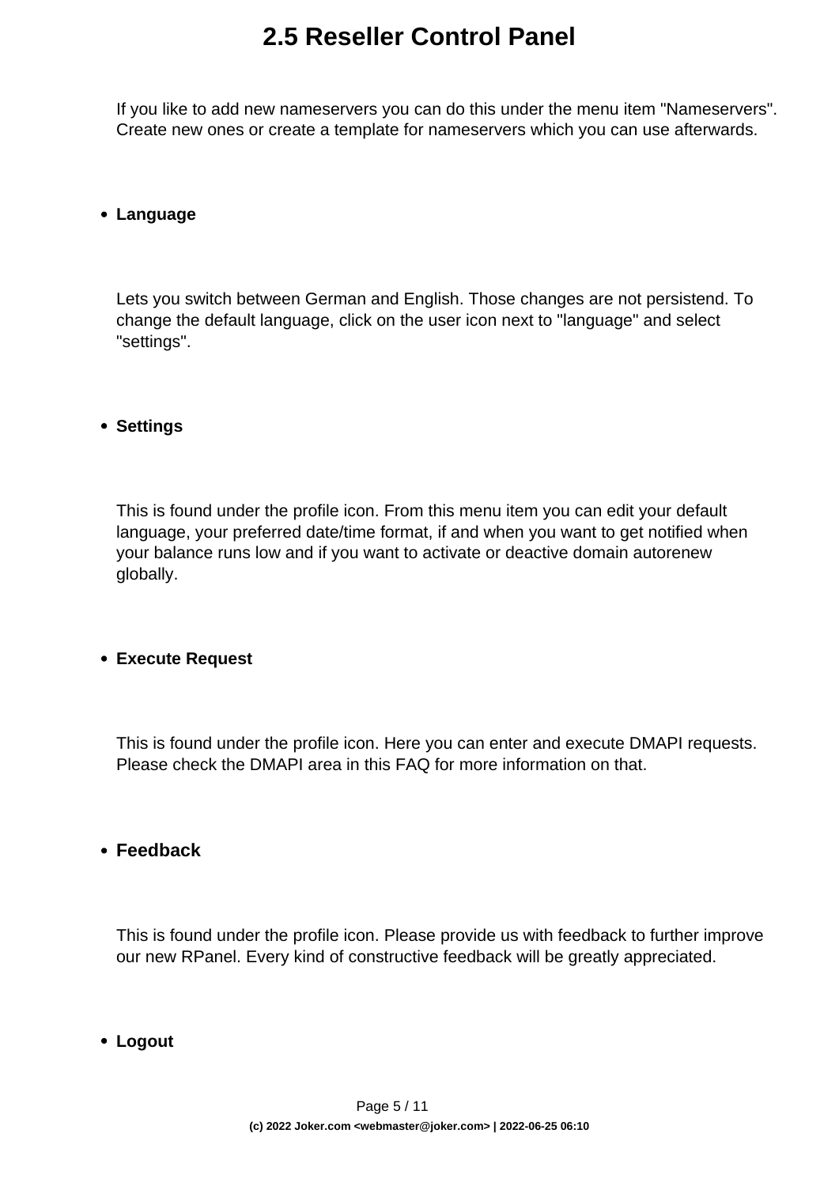If you like to add new nameservers you can do this under the menu item "Nameservers". Create new ones or create a template for nameservers which you can use afterwards.

#### **Language**

Lets you switch between German and English. Those changes are not persistend. To change the default language, click on the user icon next to "language" and select "settings".

#### **Settings**

This is found under the profile icon. From this menu item you can edit your default language, your preferred date/time format, if and when you want to get notified when your balance runs low and if you want to activate or deactive domain autorenew globally.

#### **Execute Request**

This is found under the profile icon. Here you can enter and execute DMAPI requests. Please check the DMAPI area in this FAQ for more information on that.

#### **Feedback**

This is found under the profile icon. Please provide us with feedback to further improve our new RPanel. Every kind of constructive feedback will be greatly appreciated.

**Logout**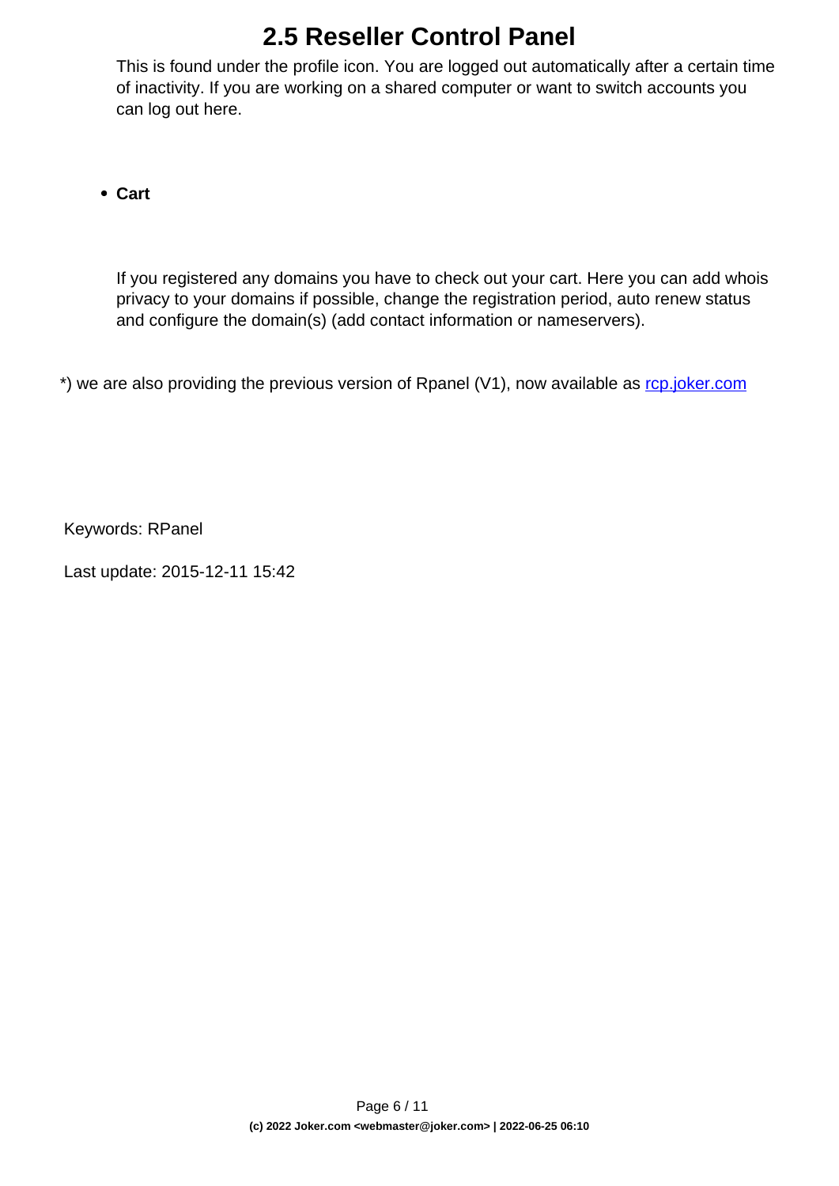This is found under the profile icon. You are logged out automatically after a certain time of inactivity. If you are working on a shared computer or want to switch accounts you can log out here.

**Cart**

If you registered any domains you have to check out your cart. Here you can add whois privacy to your domains if possible, change the registration period, auto renew status and configure the domain(s) (add contact information or nameservers).

\*) we are also providing the previous version of Rpanel (V1), now available as [rcp.joker.com](https://rcp.joker.com/)

Keywords: RPanel

Last update: 2015-12-11 15:42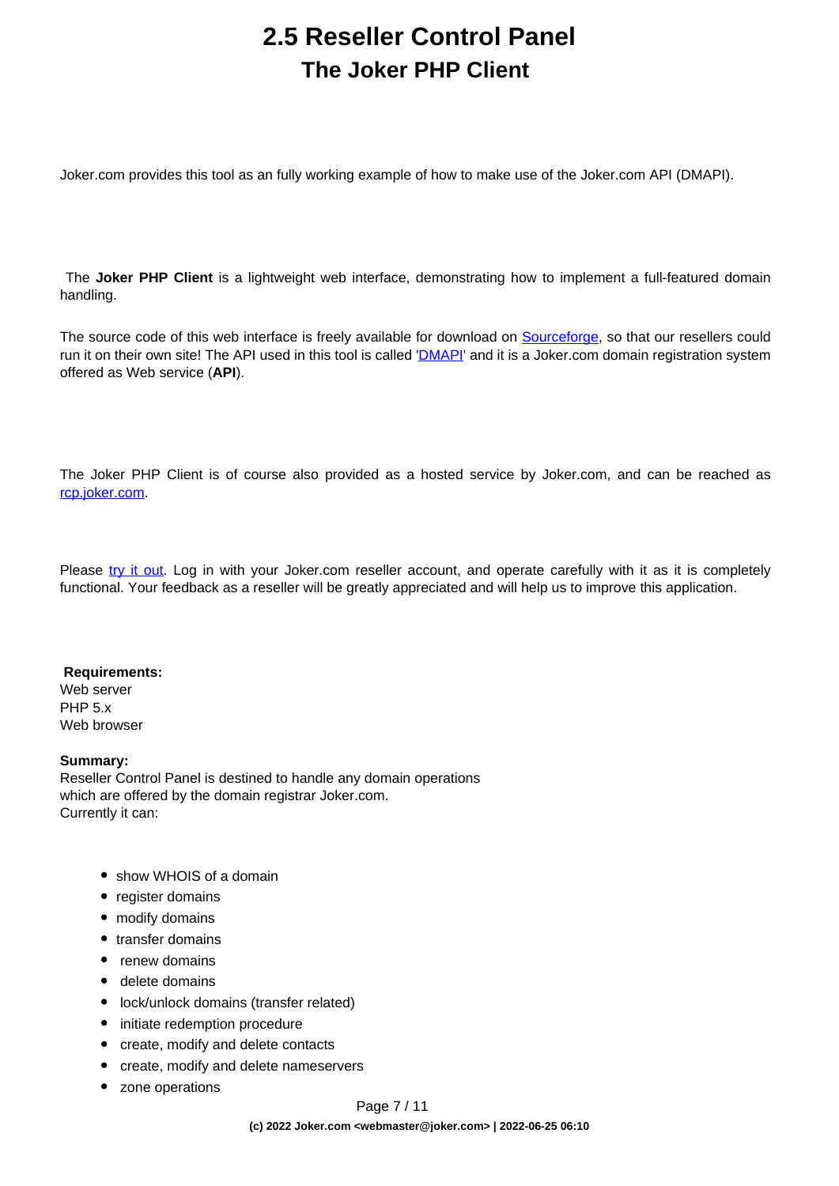### **2.5 Reseller Control Panel The Joker PHP Client**

<span id="page-6-0"></span>Joker.com provides this tool as an fully working example of how to make use of the Joker.com API (DMAPI).

 The **Joker PHP Client** is a lightweight web interface, demonstrating how to implement a full-featured domain handling.

The source code of this web interface is freely available for download on [Sourceforge,](http://sourceforge.net/projects/joker-client) so that our resellers could run it on their own site! The API used in this tool is called '*[DMAPI](/faq/category/39/22-dmapi.html)*' and it is a Joker.com domain registration system offered as Web service (**API**).

The Joker PHP Client is of course also provided as a hosted service by Joker.com, and can be reached as [rcp.joker.com.](https://rcp.joker.com/)

Please [try it out.](https://rpanel.joker.com/) Log in with your Joker.com reseller account, and operate carefully with it as it is completely functional. Your feedback as a reseller will be greatly appreciated and will help us to improve this application.

#### **Requirements:**

Web server PHP 5.x Web browser

#### **Summary:**

Reseller Control Panel is destined to handle any domain operations which are offered by the domain registrar Joker.com. Currently it can:

- show WHOIS of a domain
- register domains
- modify domains
- transfer domains
- renew domains
- delete domains
- lock/unlock domains (transfer related)
- initiate redemption procedure
- create, modify and delete contacts
- create, modify and delete nameservers
- zone operations

Page 7 / 11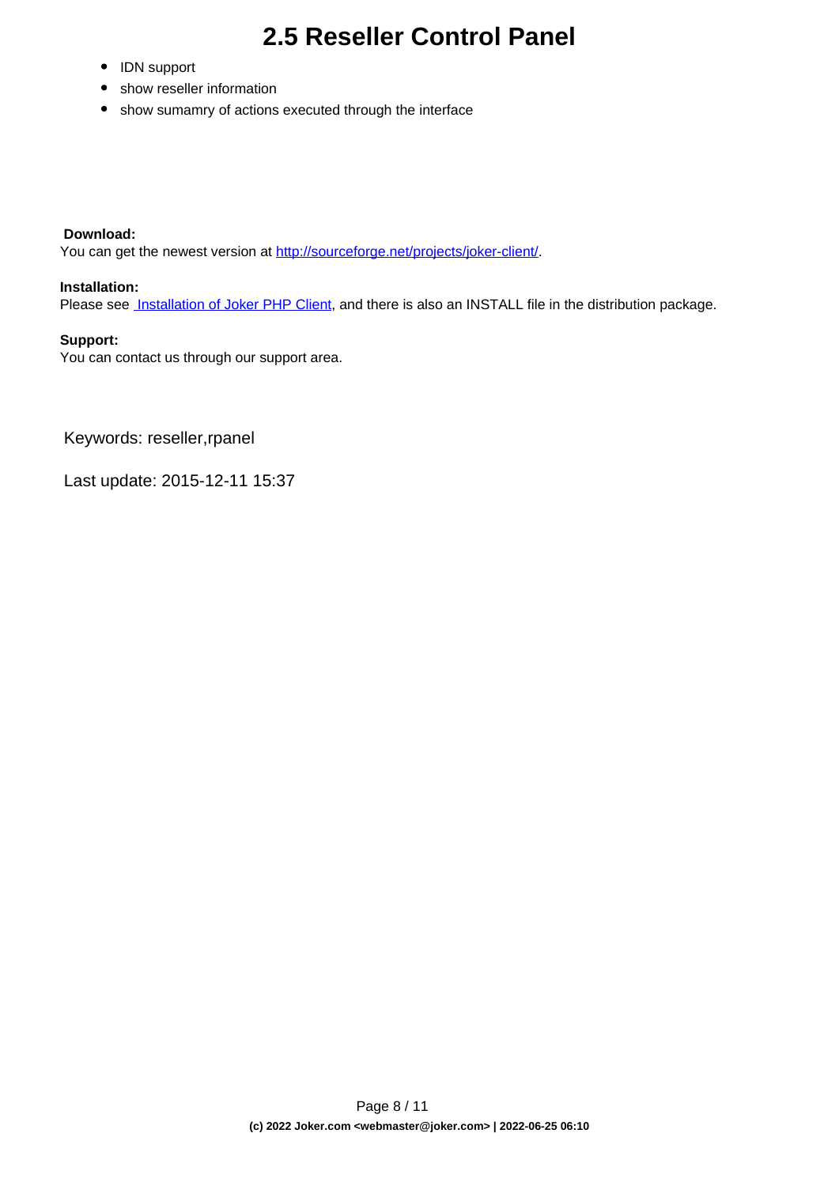- IDN support
- show reseller information
- show sumamry of actions executed through the interface

#### **Download:**

You can get the newest version at <http://sourceforge.net/projects/joker-client/>.

#### **Installation:**

Please see **[Installation of Joker PHP Client](index.php?action=artikel&cat=75&id=429&artlang=en)**, and there is also an INSTALL file in the distribution package.

#### **Support:**

You can contact us through our support area.

Keywords: reseller,rpanel

Last update: 2015-12-11 15:37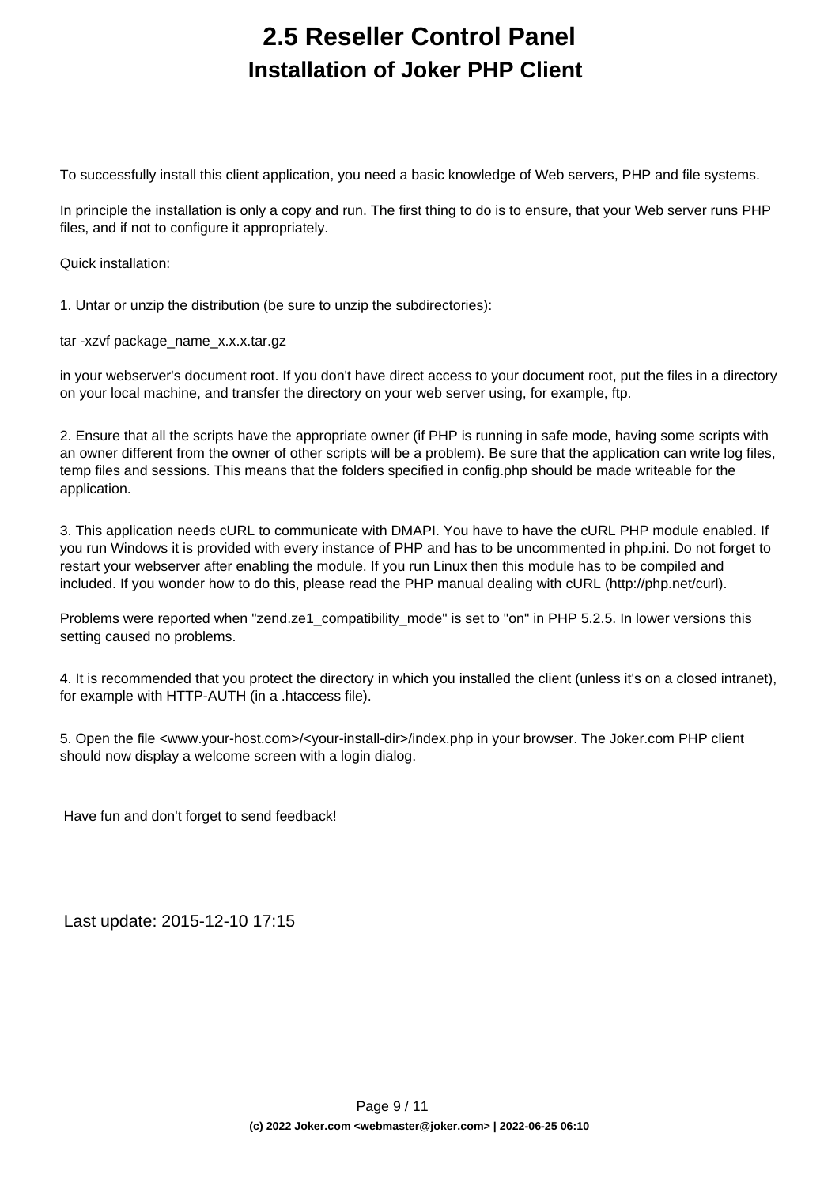### **2.5 Reseller Control Panel Installation of Joker PHP Client**

<span id="page-8-0"></span>To successfully install this client application, you need a basic knowledge of Web servers, PHP and file systems.

In principle the installation is only a copy and run. The first thing to do is to ensure, that your Web server runs PHP files, and if not to configure it appropriately.

Quick installation:

1. Untar or unzip the distribution (be sure to unzip the subdirectories):

tar -xzvf package\_name\_x.x.x.tar.gz

in your webserver's document root. If you don't have direct access to your document root, put the files in a directory on your local machine, and transfer the directory on your web server using, for example, ftp.

2. Ensure that all the scripts have the appropriate owner (if PHP is running in safe mode, having some scripts with an owner different from the owner of other scripts will be a problem). Be sure that the application can write log files, temp files and sessions. This means that the folders specified in config.php should be made writeable for the application.

3. This application needs cURL to communicate with DMAPI. You have to have the cURL PHP module enabled. If you run Windows it is provided with every instance of PHP and has to be uncommented in php.ini. Do not forget to restart your webserver after enabling the module. If you run Linux then this module has to be compiled and included. If you wonder how to do this, please read the PHP manual dealing with cURL (http://php.net/curl).

Problems were reported when "zend.ze1\_compatibility\_mode" is set to "on" in PHP 5.2.5. In lower versions this setting caused no problems.

4. It is recommended that you protect the directory in which you installed the client (unless it's on a closed intranet), for example with HTTP-AUTH (in a .htaccess file).

5. Open the file <www.your-host.com>/<your-install-dir>/index.php in your browser. The Joker.com PHP client should now display a welcome screen with a login dialog.

Have fun and don't forget to send feedback!

Last update: 2015-12-10 17:15